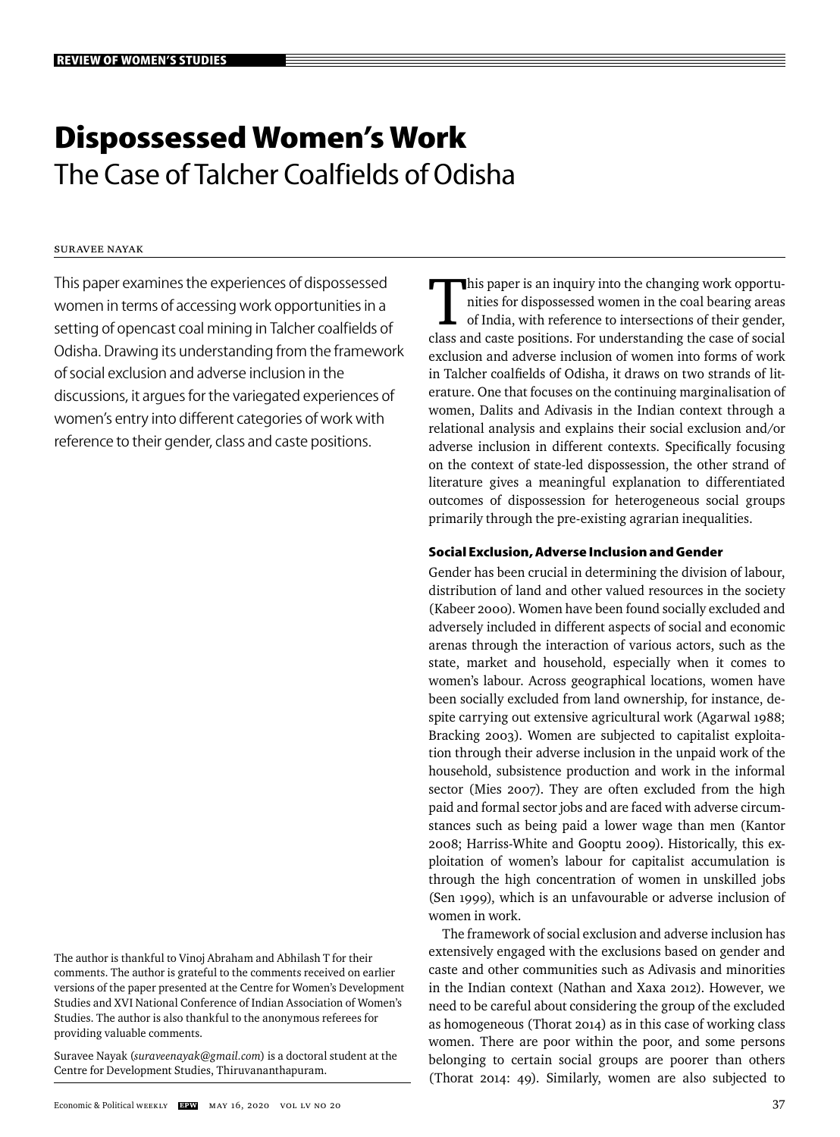# **Dispossessed Women's Work** The Case of Talcher Coalfields of Odisha

# Suravee Nayak

This paper examines the experiences of dispossessed women in terms of accessing work opportunities in a setting of opencast coal mining in Talcher coalfields of Odisha. Drawing its understanding from the framework of social exclusion and adverse inclusion in the discussions, it argues for the variegated experiences of women's entry into different categories of work with reference to their gender, class and caste positions.

The author is thankful to Vinoj Abraham and Abhilash T for their comments. The author is grateful to the comments received on earlier versions of the paper presented at the Centre for Women's Development Studies and XVI National Conference of Indian Association of Women's Studies. The author is also thankful to the anonymous referees for providing valuable comments.

Suravee Nayak (*suraveenayak@gmail.com*) is a doctoral student at the Centre for Development Studies, Thiruvananthapuram.

This paper is an inquiry into the changing work opportunities for dispossessed women in the coal bearing areas of India, with reference to intersections of their gender, class and caste positions. For understanding the case of social exclusion and adverse inclusion of women into forms of work in Talcher coalfields of Odisha, it draws on two strands of literature. One that focuses on the continuing marginalisation of women, Dalits and Adivasis in the Indian context through a relational analysis and explains their social exclusion and/or adverse inclusion in different contexts. Specifically focusing on the context of state-led dispossession, the other strand of literature gives a meaningful explanation to differentiated outcomes of dispossession for heterogeneous social groups primarily through the pre-existing agrarian inequalities.

## **Social Exclusion, Adverse Inclusion and Gender**

Gender has been crucial in determining the division of labour, distribution of land and other valued resources in the society (Kabeer 2000). Women have been found socially excluded and adversely included in different aspects of social and economic arenas through the interaction of various actors, such as the state, market and household, especially when it comes to women's labour. Across geographical locations, women have been socially excluded from land ownership, for instance, despite carrying out extensive agricultural work (Agarwal 1988; Bracking 2003). Women are subjected to capitalist exploitation through their adverse inclusion in the unpaid work of the household, subsistence production and work in the informal sector (Mies 2007). They are often excluded from the high paid and formal sector jobs and are faced with adverse circumstances such as being paid a lower wage than men (Kantor 2008; Harriss-White and Gooptu 2009). Historically, this exploitation of women's labour for capitalist accumulation is through the high concentration of women in unskilled jobs (Sen 1999), which is an unfavourable or adverse inclusion of women in work.

The framework of social exclusion and adverse inclusion has extensively engaged with the exclusions based on gender and caste and other communities such as Adivasis and minorities in the Indian context (Nathan and Xaxa 2012). However, we need to be careful about considering the group of the excluded as homogeneous (Thorat 2014) as in this case of working class women. There are poor within the poor, and some persons belonging to certain social groups are poorer than others (Thorat 2014: 49). Similarly, women are also subjected to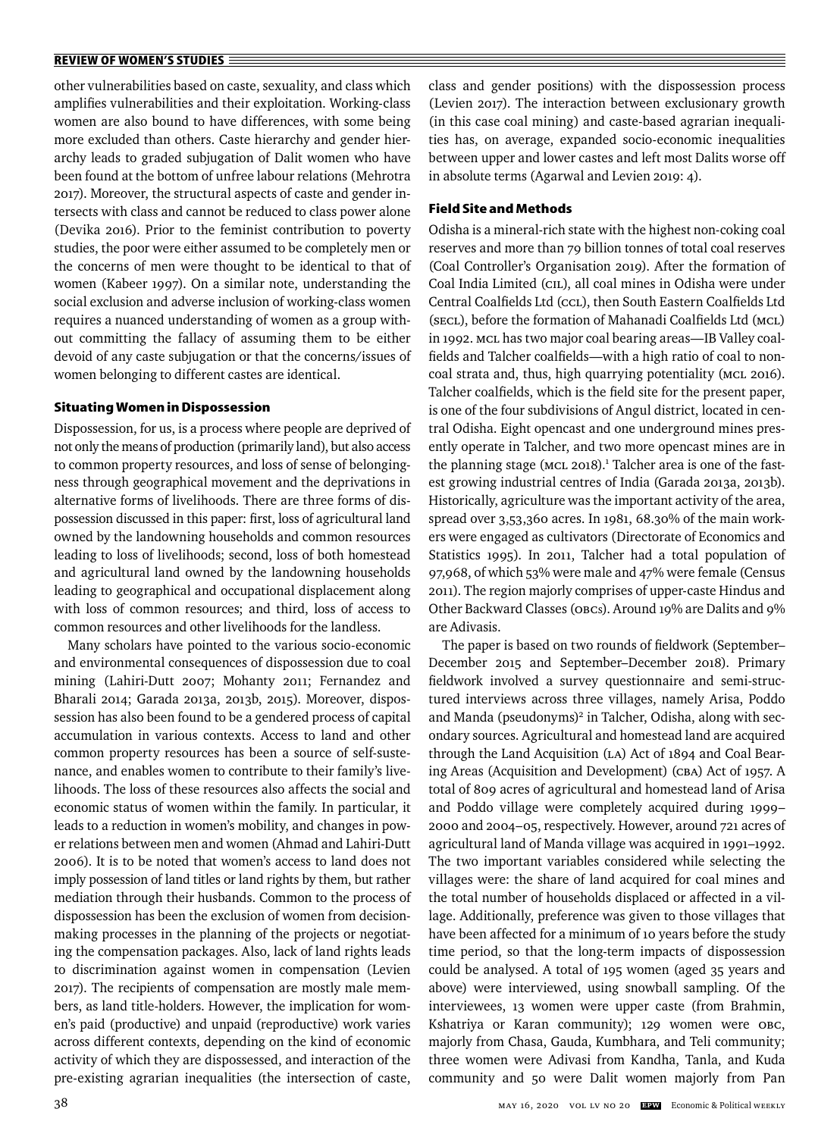other vulnerabilities based on caste, sexuality, and class which amplifies vulnerabilities and their exploitation. Working-class women are also bound to have differences, with some being more excluded than others. Caste hierarchy and gender hierarchy leads to graded subjugation of Dalit women who have been found at the bottom of unfree labour relations (Mehrotra 2017). Moreover, the structural aspects of caste and gender intersects with class and cannot be reduced to class power alone (Devika 2016). Prior to the feminist contribution to poverty studies, the poor were either assumed to be completely men or the concerns of men were thought to be identical to that of women (Kabeer 1997). On a similar note, understanding the social exclusion and adverse inclusion of working-class women requires a nuanced understanding of women as a group without committing the fallacy of assuming them to be either devoid of any caste subjugation or that the concerns/issues of women belonging to different castes are identical.

## **Situating Women in Dispossession**

Dispossession, for us, is a process where people are deprived of not only the means of production (primarily land), but also access to common property resources, and loss of sense of belongingness through geographical movement and the deprivations in alternative forms of livelihoods. There are three forms of dispossession discussed in this paper: first, loss of agricultural land owned by the landowning households and common resources leading to loss of livelihoods; second, loss of both homestead and agricultural land owned by the landowning households leading to geographical and occupational displacement along with loss of common resources; and third, loss of access to common resources and other livelihoods for the landless.

Many scholars have pointed to the various socio-economic and environmental consequences of dispossession due to coal mining (Lahiri-Dutt 2007; Mohanty 2011; Fernandez and Bharali 2014; Garada 2013a, 2013b, 2015). Moreover, dispossession has also been found to be a gendered process of capital accumulation in various contexts. Access to land and other common property resources has been a source of self-sustenance, and enables women to contribute to their family's livelihoods. The loss of these resources also affects the social and economic status of women within the family. In particular, it leads to a reduction in women's mobility, and changes in power relations between men and women (Ahmad and Lahiri-Dutt 2006). It is to be noted that women's access to land does not imply possession of land titles or land rights by them, but rather mediation through their husbands. Common to the process of dispossession has been the exclusion of women from decisionmaking processes in the planning of the projects or negotiating the compensation packages. Also, lack of land rights leads to discrimination against women in compensation (Levien 2017). The recipients of compensation are mostly male members, as land title-holders. However, the implication for women's paid (productive) and unpaid (reproductive) work varies across different contexts, depending on the kind of economic activity of which they are dispossessed, and interaction of the pre-existing agrarian inequalities (the intersection of caste,

class and gender positions) with the dispossession process (Levien 2017). The interaction between exclusionary growth (in this case coal mining) and caste-based agrarian inequalities has, on average, expanded socio-economic inequalities between upper and lower castes and left most Dalits worse off in absolute terms (Agarwal and Levien 2019: 4).

## **Field Site and Methods**

Odisha is a mineral-rich state with the highest non-coking coal reserves and more than 79 billion tonnes of total coal reserves (Coal Controller's Organisation 2019). After the formation of Coal India Limited (CIL), all coal mines in Odisha were under Central Coalfields Ltd (CCL), then South Eastern Coalfields Ltd (SECL), before the formation of Mahanadi Coalfields Ltd (MCL) in 1992. MCL has two major coal bearing areas—IB Valley coalfields and Talcher coalfields—with a high ratio of coal to noncoal strata and, thus, high quarrying potentiality (MCL 2016). Talcher coalfields, which is the field site for the present paper, is one of the four subdivisions of Angul district, located in central Odisha. Eight opencast and one underground mines presently operate in Talcher, and two more opencast mines are in the planning stage (MCL 2018).<sup>1</sup> Talcher area is one of the fastest growing industrial centres of India (Garada 2013a, 2013b). Historically, agriculture was the important activity of the area, spread over 3,53,360 acres. In 1981, 68.30% of the main workers were engaged as cultivators (Directorate of Economics and Statistics 1995). In 2011, Talcher had a total population of 97,968, of which 53% were male and 47% were female (Census 2011). The region majorly comprises of upper-caste Hindus and Other Backward Classes (OBCs). Around 19% are Dalits and 9% are Adivasis.

The paper is based on two rounds of fieldwork (September– December 2015 and September–December 2018). Primary fieldwork involved a survey questionnaire and semi-structured interviews across three villages, namely Arisa, Poddo and Manda (pseudonyms)<sup>2</sup> in Talcher, Odisha, along with secondary sources. Agricultural and homestead land are acquired through the Land Acquisition (LA) Act of 1894 and Coal Bearing Areas (Acquisition and Development) (CBA) Act of 1957. A total of 809 acres of agricultural and homestead land of Arisa and Poddo village were completely acquired during 1999– 2000 and 2004–05, respectively. However, around 721 acres of agricultural land of Manda village was acquired in 1991–1992. The two important variables considered while selecting the villages were: the share of land acquired for coal mines and the total number of households displaced or affected in a village. Additionally, preference was given to those villages that have been affected for a minimum of 10 years before the study time period, so that the long-term impacts of dispossession could be analysed. A total of 195 women (aged 35 years and above) were interviewed, using snowball sampling. Of the interviewees, 13 women were upper caste (from Brahmin, Kshatriya or Karan community); 129 women were OBC, majorly from Chasa, Gauda, Kumbhara, and Teli community; three women were Adivasi from Kandha, Tanla, and Kuda community and 50 were Dalit women majorly from Pan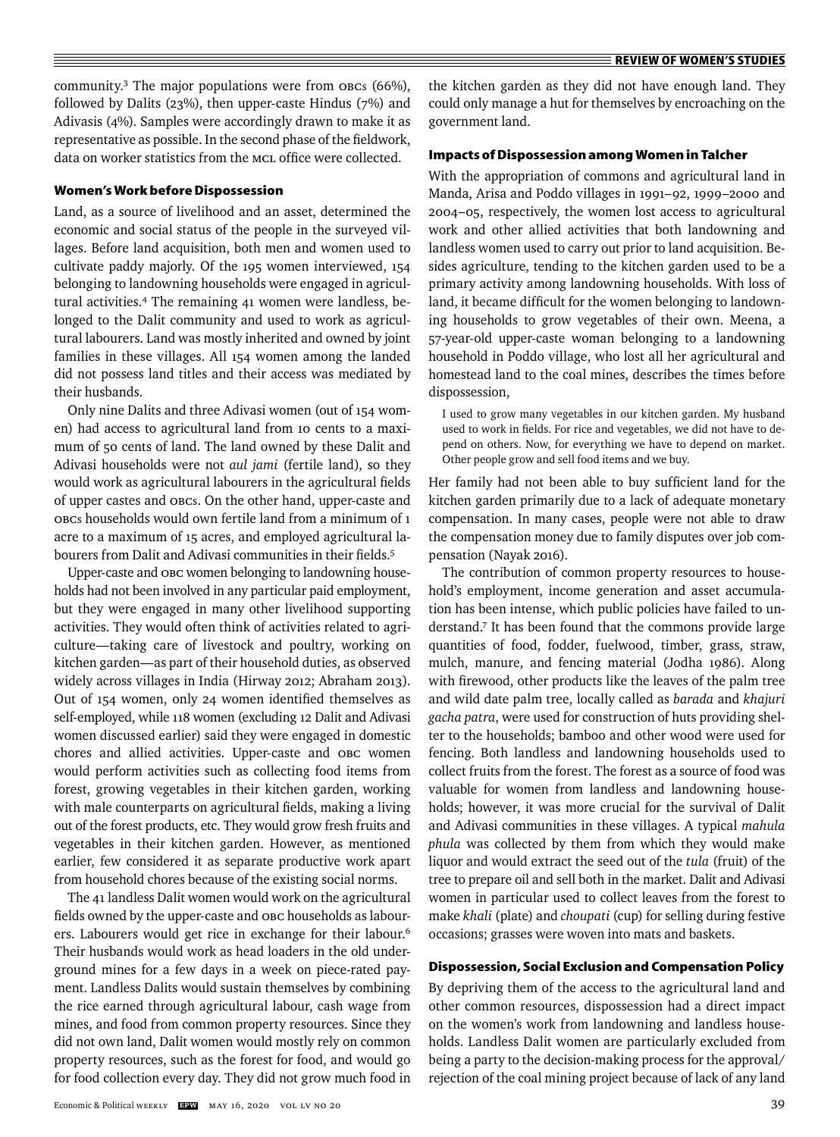community.3 The major populations were from OBCs (66%), followed by Dalits (23%), then upper-caste Hindus (7%) and Adivasis (4%). Samples were accordingly drawn to make it as representative as possible. In the second phase of the fieldwork, data on worker statistics from the MCL office were collected.

## **Women's Work before Dispossession**

Land, as a source of livelihood and an asset, determined the economic and social status of the people in the surveyed villages. Before land acquisition, both men and women used to cultivate paddy majorly. Of the 195 women interviewed, 154 belonging to landowning households were engaged in agricultural activities.4 The remaining 41 women were landless, belonged to the Dalit community and used to work as agricultural labourers. Land was mostly inherited and owned by joint families in these villages. All 154 women among the landed did not possess land titles and their access was mediated by their husbands.

Only nine Dalits and three Adivasi women (out of 154 women) had access to agricultural land from 10 cents to a maximum of 50 cents of land. The land owned by these Dalit and Adivasi households were not *aul jami* (fertile land), so they would work as agricultural labourers in the agricultural fields of upper castes and OBCs. On the other hand, upper-caste and OBCs households would own fertile land from a minimum of 1 acre to a maximum of 15 acres, and employed agricultural labourers from Dalit and Adivasi communities in their fields.<sup>5</sup>

Upper-caste and OBC women belonging to landowning households had not been involved in any particular paid employment, but they were engaged in many other livelihood supporting activities. They would often think of activities related to agriculture—taking care of livestock and poultry, working on kitchen garden—as part of their household duties, as observed widely across villages in India (Hirway 2012; Abraham 2013). Out of 154 women, only 24 women identified themselves as self-employed, while 118 women (excluding 12 Dalit and Adivasi women discussed earlier) said they were engaged in domestic chores and allied activities. Upper-caste and OBC women would perform activities such as collecting food items from forest, growing vegetables in their kitchen garden, working with male counterparts on agricultural fields, making a living out of the forest products, etc. They would grow fresh fruits and vegetables in their kitchen garden. However, as mentioned earlier, few considered it as separate productive work apart from household chores because of the existing social norms.

The 41 landless Dalit women would work on the agricultural fields owned by the upper-caste and OBC households as labourers. Labourers would get rice in exchange for their labour.<sup>6</sup> Their husbands would work as head loaders in the old underground mines for a few days in a week on piece-rated payment. Landless Dalits would sustain themselves by combining the rice earned through agricultural labour, cash wage from mines, and food from common property resources. Since they did not own land, Dalit women would mostly rely on common property resources, such as the forest for food, and would go for food collection every day. They did not grow much food in the kitchen garden as they did not have enough land. They could only manage a hut for themselves by encroaching on the government land.

### **Impacts of Dispossession among Women in Talcher**

With the appropriation of commons and agricultural land in Manda, Arisa and Poddo villages in 1991–92, 1999–2000 and 2004–05, respectively, the women lost access to agricultural work and other allied activities that both landowning and landless women used to carry out prior to land acquisition. Besides agriculture, tending to the kitchen garden used to be a primary activity among landowning households. With loss of land, it became difficult for the women belonging to landowning households to grow vegetables of their own. Meena, a 57-year-old upper-caste woman belonging to a landowning household in Poddo village, who lost all her agricultural and homestead land to the coal mines, describes the times before dispossession,

I used to grow many vegetables in our kitchen garden. My husband used to work in fields. For rice and vegetables, we did not have to depend on others. Now, for everything we have to depend on market. Other people grow and sell food items and we buy.

Her family had not been able to buy sufficient land for the kitchen garden primarily due to a lack of adequate monetary compensation. In many cases, people were not able to draw the compensation money due to family disputes over job compensation (Nayak 2016).

The contribution of common property resources to household's employment, income generation and asset accumulation has been intense, which public policies have failed to understand.7 It has been found that the commons provide large quantities of food, fodder, fuelwood, timber, grass, straw, mulch, manure, and fencing material (Jodha 1986). Along with firewood, other products like the leaves of the palm tree and wild date palm tree, locally called as *barada* and *khajuri gacha patra*, were used for construction of huts providing shelter to the households; bamboo and other wood were used for fencing. Both landless and landowning households used to collect fruits from the forest. The forest as a source of food was valuable for women from landless and landowning households; however, it was more crucial for the survival of Dalit and Adivasi communities in these villages. A typical *mahula phula* was collected by them from which they would make liquor and would extract the seed out of the *tula* (fruit) of the tree to prepare oil and sell both in the market. Dalit and Adivasi women in particular used to collect leaves from the forest to make *khali* (plate) and *choupati* (cup) for selling during festive occasions; grasses were woven into mats and baskets.

## **Dispossession, Social Exclusion and Compensation Policy**

By depriving them of the access to the agricultural land and other common resources, dispossession had a direct impact on the women's work from landowning and landless households. Landless Dalit women are particularly excluded from being a party to the decision-making process for the approval/ rejection of the coal mining project because of lack of any land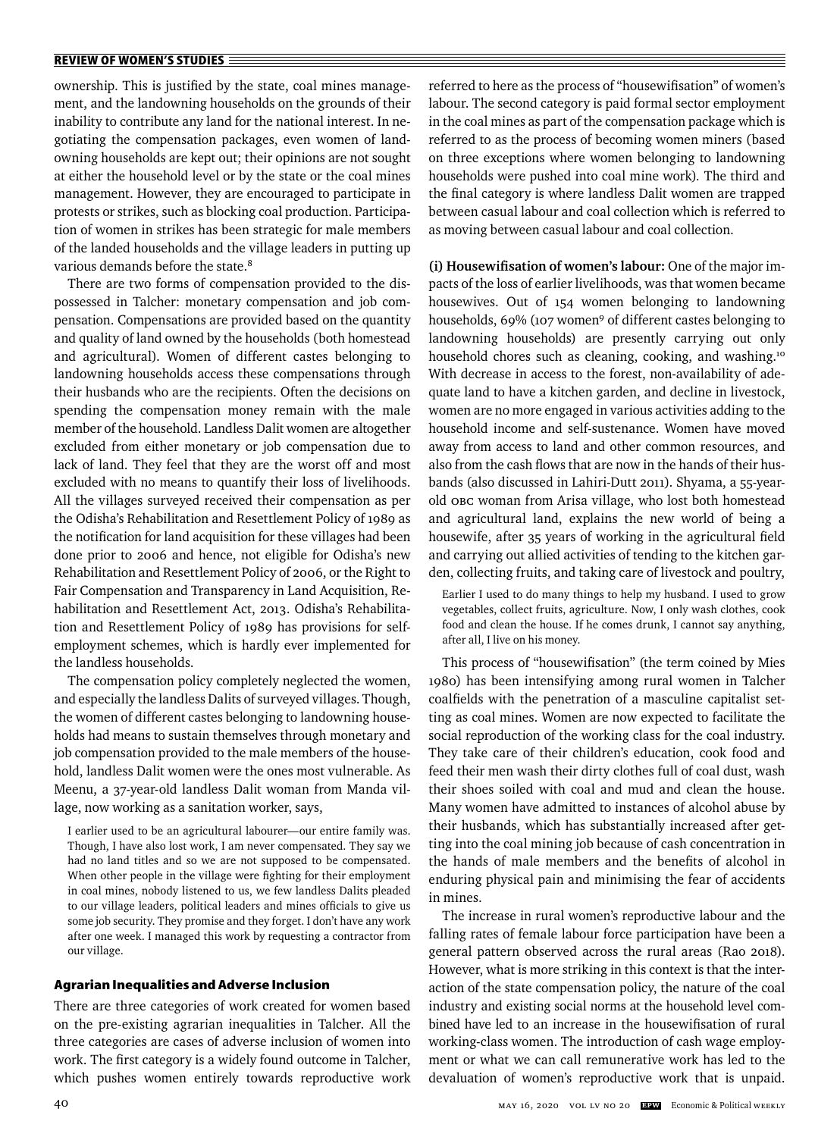ownership. This is justified by the state, coal mines management, and the landowning households on the grounds of their inability to contribute any land for the national interest. In negotiating the compensation packages, even women of landowning households are kept out; their opinions are not sought at either the household level or by the state or the coal mines management. However, they are encouraged to participate in protests or strikes, such as blocking coal production. Participation of women in strikes has been strategic for male members of the landed households and the village leaders in putting up various demands before the state.<sup>8</sup>

There are two forms of compensation provided to the dispossessed in Talcher: monetary compensation and job compensation. Compensations are provided based on the quantity and quality of land owned by the households (both homestead and agricultural). Women of different castes belonging to landowning households access these compensations through their husbands who are the recipients. Often the decisions on spending the compensation money remain with the male member of the household. Landless Dalit women are altogether excluded from either monetary or job compensation due to lack of land. They feel that they are the worst off and most excluded with no means to quantify their loss of livelihoods. All the villages surveyed received their compensation as per the Odisha's Rehabilitation and Resettlement Policy of 1989 as the notification for land acquisition for these villages had been done prior to 2006 and hence, not eligible for Odisha's new Rehabilitation and Resettlement Policy of 2006, or the Right to Fair Compensation and Transparency in Land Acquisition, Rehabilitation and Resettlement Act, 2013. Odisha's Rehabilitation and Resettlement Policy of 1989 has provisions for selfemployment schemes, which is hardly ever implemented for the landless households.

The compensation policy completely neglected the women, and especially the landless Dalits of surveyed villages. Though, the women of different castes belonging to landowning households had means to sustain themselves through monetary and job compensation provided to the male members of the household, landless Dalit women were the ones most vulnerable. As Meenu, a 37-year-old landless Dalit woman from Manda village, now working as a sanitation worker, says,

I earlier used to be an agricultural labourer—our entire family was. Though, I have also lost work, I am never compensated. They say we had no land titles and so we are not supposed to be compensated. When other people in the village were fighting for their employment in coal mines, nobody listened to us, we few landless Dalits pleaded to our village leaders, political leaders and mines officials to give us some job security. They promise and they forget. I don't have any work after one week. I managed this work by requesting a contractor from our village.

#### **Agrarian Inequalities and Adverse Inclusion**

There are three categories of work created for women based on the pre-existing agrarian inequalities in Talcher. All the three categories are cases of adverse inclusion of women into work. The first category is a widely found outcome in Talcher, which pushes women entirely towards reproductive work referred to here as the process of "housewifisation" of women's labour. The second category is paid formal sector employment in the coal mines as part of the compensation package which is referred to as the process of becoming women miners (based on three exceptions where women belonging to landowning households were pushed into coal mine work)*.* The third and the final category is where landless Dalit women are trapped between casual labour and coal collection which is referred to as moving between casual labour and coal collection.

**(i) Housewifi sation of women's labour:** One of the major impacts of the loss of earlier livelihoods, was that women became housewives. Out of 154 women belonging to landowning households, 69% (107 women<sup>9</sup> of different castes belonging to landowning households) are presently carrying out only household chores such as cleaning, cooking, and washing.<sup>10</sup> With decrease in access to the forest, non-availability of adequate land to have a kitchen garden, and decline in livestock, women are no more engaged in various activities adding to the household income and self-sustenance. Women have moved away from access to land and other common resources, and also from the cash flows that are now in the hands of their husbands (also discussed in Lahiri-Dutt 2011). Shyama, a 55-yearold OBC woman from Arisa village, who lost both homestead and agricultural land, explains the new world of being a housewife, after 35 years of working in the agricultural field and carrying out allied activities of tending to the kitchen garden, collecting fruits, and taking care of livestock and poultry,

Earlier I used to do many things to help my husband. I used to grow vegetables, collect fruits, agriculture. Now, I only wash clothes, cook food and clean the house. If he comes drunk, I cannot say anything, after all, I live on his money.

This process of "housewifisation" (the term coined by Mies 1980) has been intensifying among rural women in Talcher coalfields with the penetration of a masculine capitalist setting as coal mines. Women are now expected to facilitate the social reproduction of the working class for the coal industry. They take care of their children's education, cook food and feed their men wash their dirty clothes full of coal dust, wash their shoes soiled with coal and mud and clean the house. Many women have admitted to instances of alcohol abuse by their husbands, which has substantially increased after getting into the coal mining job because of cash concentration in the hands of male members and the benefits of alcohol in enduring physical pain and minimising the fear of accidents in mines.

The increase in rural women's reproductive labour and the falling rates of female labour force participation have been a general pattern observed across the rural areas (Rao 2018). However, what is more striking in this context is that the interaction of the state compensation policy, the nature of the coal industry and existing social norms at the household level combined have led to an increase in the housewifisation of rural working-class women. The introduction of cash wage employment or what we can call remunerative work has led to the devaluation of women's reproductive work that is unpaid.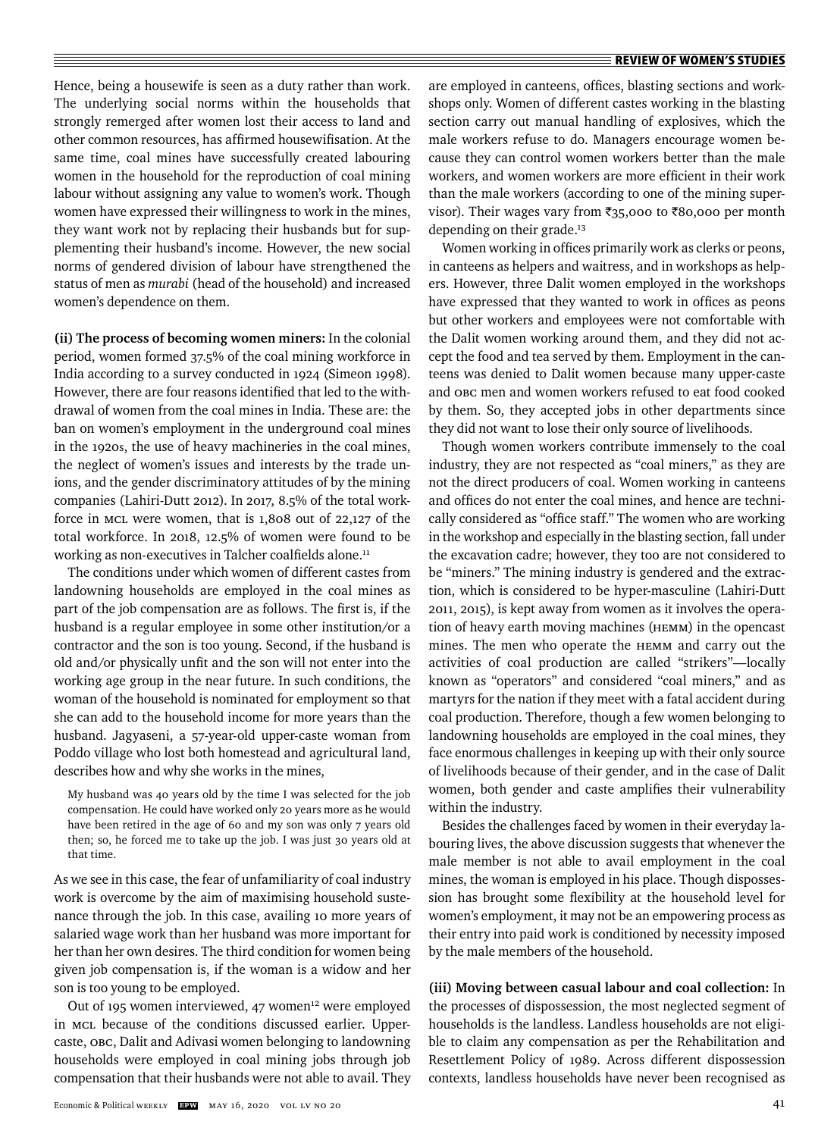Hence, being a housewife is seen as a duty rather than work. The underlying social norms within the households that strongly remerged after women lost their access to land and other common resources, has affirmed housewifisation. At the same time, coal mines have successfully created labouring women in the household for the reproduction of coal mining labour without assigning any value to women's work. Though women have expressed their willingness to work in the mines, they want work not by replacing their husbands but for supplementing their husband's income. However, the new social norms of gendered division of labour have strengthened the status of men as *murabi* (head of the household) and increased women's dependence on them.

**(ii) The process of becoming women miners:** In the colonial period, women formed 37.5% of the coal mining workforce in India according to a survey conducted in 1924 (Simeon 1998). However, there are four reasons identified that led to the withdrawal of women from the coal mines in India. These are: the ban on women's employment in the underground coal mines in the 1920s, the use of heavy machineries in the coal mines, the neglect of women's issues and interests by the trade unions, and the gender discriminatory attitudes of by the mining companies (Lahiri-Dutt 2012). In 2017, 8.5% of the total workforce in MCL were women, that is 1,808 out of 22,127 of the total workforce. In 2018, 12.5% of women were found to be working as non-executives in Talcher coalfields alone.<sup>11</sup>

The conditions under which women of different castes from landowning households are employed in the coal mines as part of the job compensation are as follows. The first is, if the husband is a regular employee in some other institution/or a contractor and the son is too young. Second, if the husband is old and/or physically unfit and the son will not enter into the working age group in the near future. In such conditions, the woman of the household is nominated for employment so that she can add to the household income for more years than the husband. Jagyaseni, a 57-year-old upper-caste woman from Poddo village who lost both homestead and agricultural land, describes how and why she works in the mines,

My husband was 40 years old by the time I was selected for the job compensation. He could have worked only 20 years more as he would have been retired in the age of 60 and my son was only 7 years old then; so, he forced me to take up the job. I was just 30 years old at that time.

As we see in this case, the fear of unfamiliarity of coal industry work is overcome by the aim of maximising household sustenance through the job. In this case, availing 10 more years of salaried wage work than her husband was more important for her than her own desires. The third condition for women being given job compensation is, if the woman is a widow and her son is too young to be employed.

Out of 195 women interviewed, 47 women<sup>12</sup> were employed in MCL because of the conditions discussed earlier. Uppercaste, OBC, Dalit and Adivasi women belonging to landowning households were employed in coal mining jobs through job compensation that their husbands were not able to avail. They are employed in canteens, offices, blasting sections and workshops only. Women of different castes working in the blasting section carry out manual handling of explosives, which the male workers refuse to do. Managers encourage women because they can control women workers better than the male workers, and women workers are more efficient in their work than the male workers (according to one of the mining supervisor). Their wages vary from  $\overline{\xi}_{35,000}$  to  $\overline{\xi}_{80,000}$  per month depending on their grade.<sup>13</sup>

Women working in offices primarily work as clerks or peons, in canteens as helpers and waitress, and in workshops as helpers. However, three Dalit women employed in the workshops have expressed that they wanted to work in offices as peons but other workers and employees were not comfortable with the Dalit women working around them, and they did not accept the food and tea served by them. Employment in the canteens was denied to Dalit women because many upper-caste and OBC men and women workers refused to eat food cooked by them. So, they accepted jobs in other departments since they did not want to lose their only source of livelihoods.

Though women workers contribute immensely to the coal industry, they are not respected as "coal miners," as they are not the direct producers of coal. Women working in canteens and offices do not enter the coal mines, and hence are technically considered as "office staff." The women who are working in the workshop and especially in the blasting section, fall under the excavation cadre; however, they too are not considered to be "miners." The mining industry is gendered and the extraction, which is considered to be hyper-masculine (Lahiri-Dutt 2011, 2015), is kept away from women as it involves the operation of heavy earth moving machines (HEMM) in the opencast mines. The men who operate the HEMM and carry out the activities of coal production are called "strikers"—locally known as "operators" and considered "coal miners," and as martyrs for the nation if they meet with a fatal accident during coal production. Therefore, though a few women belonging to landowning households are employed in the coal mines, they face enormous challenges in keeping up with their only source of livelihoods because of their gender, and in the case of Dalit women, both gender and caste amplifies their vulnerability within the industry.

Besides the challenges faced by women in their everyday labouring lives, the above discussion suggests that whenever the male member is not able to avail employment in the coal mines, the woman is employed in his place. Though dispossession has brought some flexibility at the household level for women's employment, it may not be an empowering process as their entry into paid work is conditioned by necessity imposed by the male members of the household.

**(iii) Moving between casual labour and coal collection:** In the processes of dispossession, the most neglected segment of households is the landless. Landless households are not eligible to claim any compensation as per the Rehabilitation and Resettlement Policy of 1989. Across different dispossession contexts, landless households have never been recognised as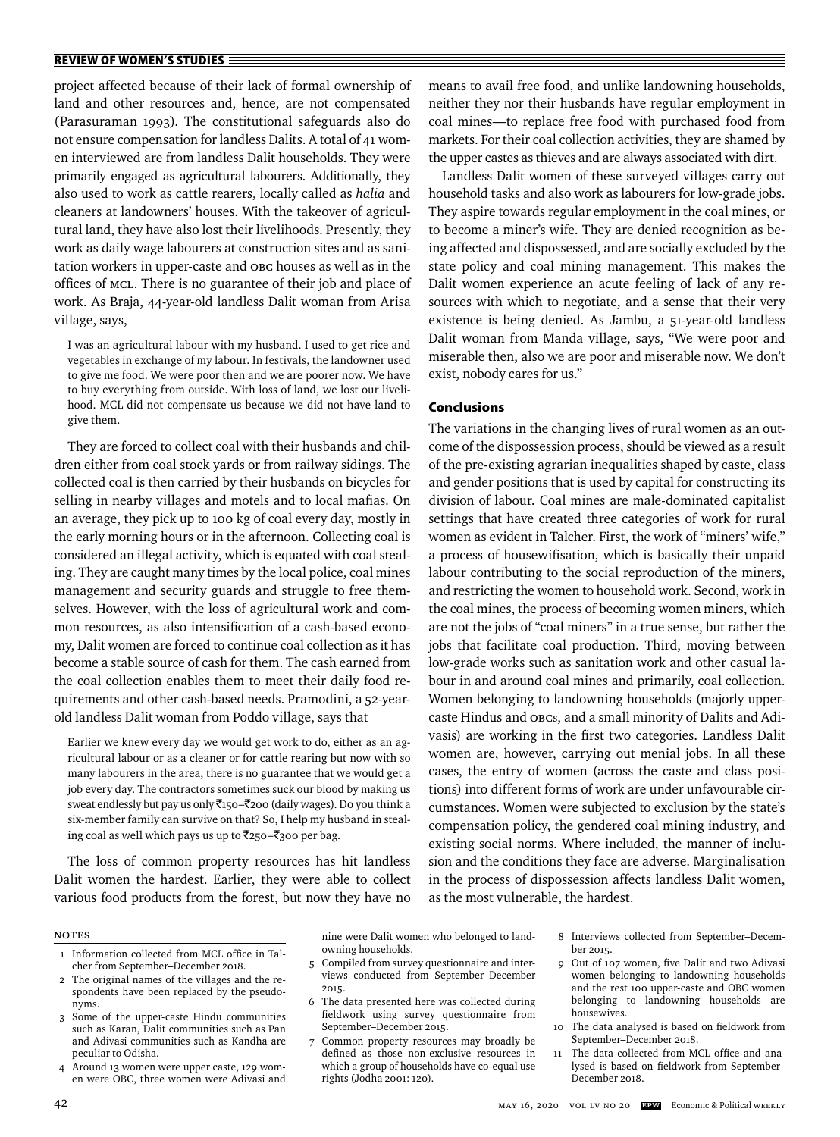project affected because of their lack of formal ownership of land and other resources and, hence, are not compensated (Parasuraman 1993). The constitutional safeguards also do not ensure compensation for landless Dalits. A total of 41 women interviewed are from landless Dalit households. They were primarily engaged as agricultural labourers. Additionally, they also used to work as cattle rearers, locally called as *halia* and cleaners at landowners' houses. With the takeover of agricultural land, they have also lost their livelihoods. Presently, they work as daily wage labourers at construction sites and as sanitation workers in upper-caste and OBC houses as well as in the offices of MCL. There is no guarantee of their job and place of work. As Braja, 44-year-old landless Dalit woman from Arisa village, says,

I was an agricultural labour with my husband. I used to get rice and vegetables in exchange of my labour. In festivals, the landowner used to give me food. We were poor then and we are poorer now. We have to buy everything from outside. With loss of land, we lost our livelihood. MCL did not compensate us because we did not have land to give them.

They are forced to collect coal with their husbands and children either from coal stock yards or from railway sidings. The collected coal is then carried by their husbands on bicycles for selling in nearby villages and motels and to local mafias. On an average, they pick up to 100 kg of coal every day, mostly in the early morning hours or in the afternoon. Collecting coal is considered an illegal activity, which is equated with coal stealing. They are caught many times by the local police, coal mines management and security guards and struggle to free themselves. However, with the loss of agricultural work and common resources, as also intensification of a cash-based economy, Dalit women are forced to continue coal collection as it has become a stable source of cash for them. The cash earned from the coal collection enables them to meet their daily food requirements and other cash-based needs. Pramodini, a 52-yearold landless Dalit woman from Poddo village, says that

Earlier we knew every day we would get work to do, either as an agricultural labour or as a cleaner or for cattle rearing but now with so many labourers in the area, there is no guarantee that we would get a job every day. The contractors sometimes suck our blood by making us sweat endlessly but pay us only ₹150–₹200 (daily wages). Do you think a six-member family can survive on that? So, I help my husband in stealing coal as well which pays us up to  $\bar{z}$ 250– $\bar{z}$ 300 per bag.

The loss of common property resources has hit landless Dalit women the hardest. Earlier, they were able to collect various food products from the forest, but now they have no means to avail free food, and unlike landowning households, neither they nor their husbands have regular employment in coal mines—to replace free food with purchased food from markets. For their coal collection activities, they are shamed by the upper castes as thieves and are always associated with dirt.

Landless Dalit women of these surveyed villages carry out household tasks and also work as labourers for low-grade jobs. They aspire towards regular employment in the coal mines, or to become a miner's wife. They are denied recognition as being affected and dispossessed, and are socially excluded by the state policy and coal mining management. This makes the Dalit women experience an acute feeling of lack of any resources with which to negotiate, and a sense that their very existence is being denied. As Jambu, a 51-year-old landless Dalit woman from Manda village, says, "We were poor and miserable then, also we are poor and miserable now. We don't exist, nobody cares for us."

## **Conclusions**

The variations in the changing lives of rural women as an outcome of the dispossession process, should be viewed as a result of the pre-existing agrarian inequalities shaped by caste, class and gender positions that is used by capital for constructing its division of labour. Coal mines are male-dominated capitalist settings that have created three categories of work for rural women as evident in Talcher. First, the work of "miners' wife," a process of housewifisation, which is basically their unpaid labour contributing to the social reproduction of the miners, and restricting the women to household work. Second, work in the coal mines, the process of becoming women miners, which are not the jobs of "coal miners" in a true sense, but rather the jobs that facilitate coal production. Third, moving between low-grade works such as sanitation work and other casual labour in and around coal mines and primarily, coal collection. Women belonging to landowning households (majorly uppercaste Hindus and OBCs, and a small minority of Dalits and Adivasis) are working in the first two categories. Landless Dalit women are, however, carrying out menial jobs. In all these cases, the entry of women (across the caste and class positions) into different forms of work are under unfavourable circumstances. Women were subjected to exclusion by the state's compensation policy, the gendered coal mining industry, and existing social norms. Where included, the manner of inclusion and the conditions they face are adverse. Marginalisation in the process of dispossession affects landless Dalit women, as the most vulnerable, the hardest.

#### **NOTES**

- 1 Information collected from MCL office in Talcher from September–December 2018.
- 2 The original names of the villages and the respondents have been replaced by the pseudonyms.
- 3 Some of the upper-caste Hindu communities such as Karan, Dalit communities such as Pan and Adivasi communities such as Kandha are peculiar to Odisha.
- 4 Around 13 women were upper caste, 129 women were OBC, three women were Adivasi and

nine were Dalit women who belonged to landowning households.

- 5 Compiled from survey questionnaire and interviews conducted from September–December 2015.
- 6 The data presented here was collected during fieldwork using survey questionnaire from September–December 2015.
- Common property resources may broadly be defined as those non-exclusive resources in which a group of households have co-equal use rights (Jodha 2001: 120).

 8 Interviews collected from September–December 2015.

- 9 Out of 107 women, five Dalit and two Adivasi women belonging to landowning households and the rest 100 upper-caste and OBC women belonging to landowning households are housewives.
- 10 The data analysed is based on fieldwork from September–December 2018.
- 11 The data collected from MCL office and analysed is based on fieldwork from September-December 2018.